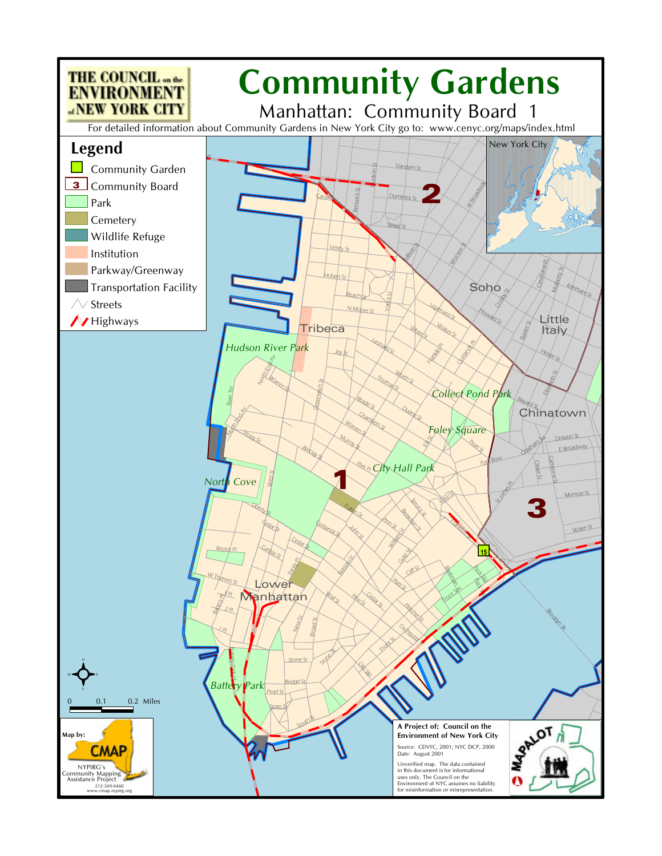